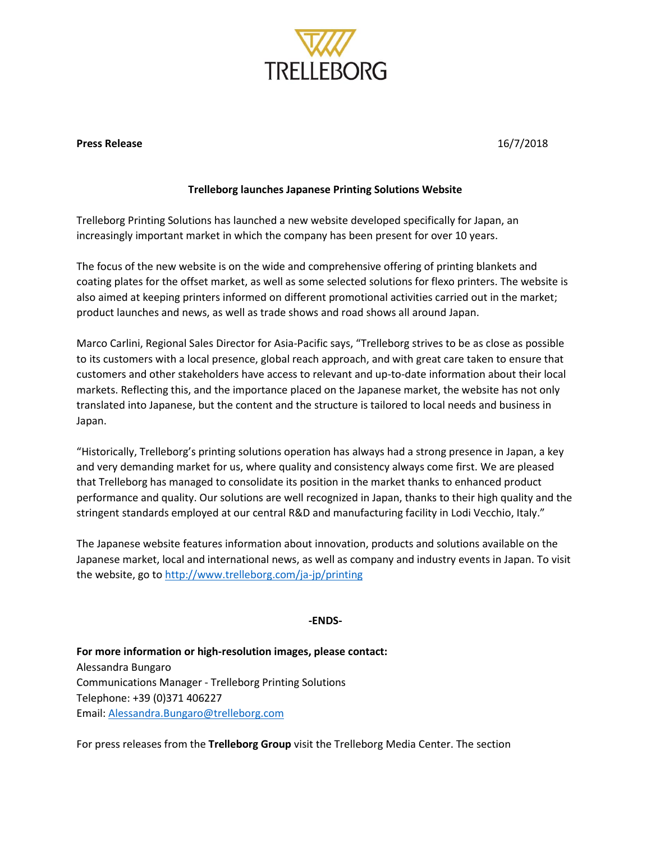

## **Press Release** 16/7/2018

## **Trelleborg launches Japanese Printing Solutions Website**

Trelleborg Printing Solutions has launched a new website developed specifically for Japan, an increasingly important market in which the company has been present for over 10 years.

The focus of the new website is on the wide and comprehensive offering of printing blankets and coating plates for the offset market, as well as some selected solutions for flexo printers. The website is also aimed at keeping printers informed on different promotional activities carried out in the market; product launches and news, as well as trade shows and road shows all around Japan.

Marco Carlini, Regional Sales Director for Asia-Pacific says, "Trelleborg strives to be as close as possible to its customers with a local presence, global reach approach, and with great care taken to ensure that customers and other stakeholders have access to relevant and up-to-date information about their local markets. Reflecting this, and the importance placed on the Japanese market, the website has not only translated into Japanese, but the content and the structure is tailored to local needs and business in Japan.

"Historically, Trelleborg's printing solutions operation has always had a strong presence in Japan, a key and very demanding market for us, where quality and consistency always come first. We are pleased that Trelleborg has managed to consolidate its position in the market thanks to enhanced product performance and quality. Our solutions are well recognized in Japan, thanks to their high quality and the stringent standards employed at our central R&D and manufacturing facility in Lodi Vecchio, Italy."

The Japanese website features information about innovation, products and solutions available on the Japanese market, local and international news, as well as company and industry events in Japan. To visit the website, go to<http://www.trelleborg.com/ja-jp/printing>

## **-ENDS-**

**For more information or high-resolution images, please contact:** Alessandra Bungaro Communications Manager - Trelleborg Printing Solutions Telephone: +39 (0)371 406227 Email: [Alessandra.Bungaro@trelleborg.com](mailto:Alessandra.Bungaro@trelleborg.com)

For press releases from the **Trelleborg Group** visit the Trelleborg Media Center. The section